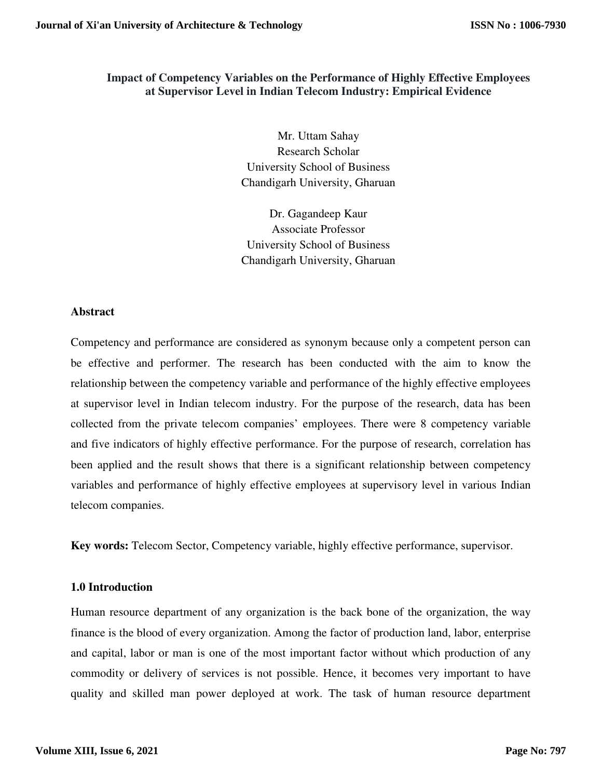# **Impact of Competency Variables on the Performance of Highly Effective Employees at Supervisor Level in Indian Telecom Industry: Empirical Evidence**

Mr. Uttam Sahay Research Scholar University School of Business Chandigarh University, Gharuan

Dr. Gagandeep Kaur Associate Professor University School of Business Chandigarh University, Gharuan

## **Abstract**

Competency and performance are considered as synonym because only a competent person can be effective and performer. The research has been conducted with the aim to know the relationship between the competency variable and performance of the highly effective employees at supervisor level in Indian telecom industry. For the purpose of the research, data has been collected from the private telecom companies' employees. There were 8 competency variable and five indicators of highly effective performance. For the purpose of research, correlation has been applied and the result shows that there is a significant relationship between competency variables and performance of highly effective employees at supervisory level in various Indian telecom companies.

**Key words:** Telecom Sector, Competency variable, highly effective performance, supervisor.

## **1.0 Introduction**

Human resource department of any organization is the back bone of the organization, the way finance is the blood of every organization. Among the factor of production land, labor, enterprise and capital, labor or man is one of the most important factor without which production of any commodity or delivery of services is not possible. Hence, it becomes very important to have quality and skilled man power deployed at work. The task of human resource department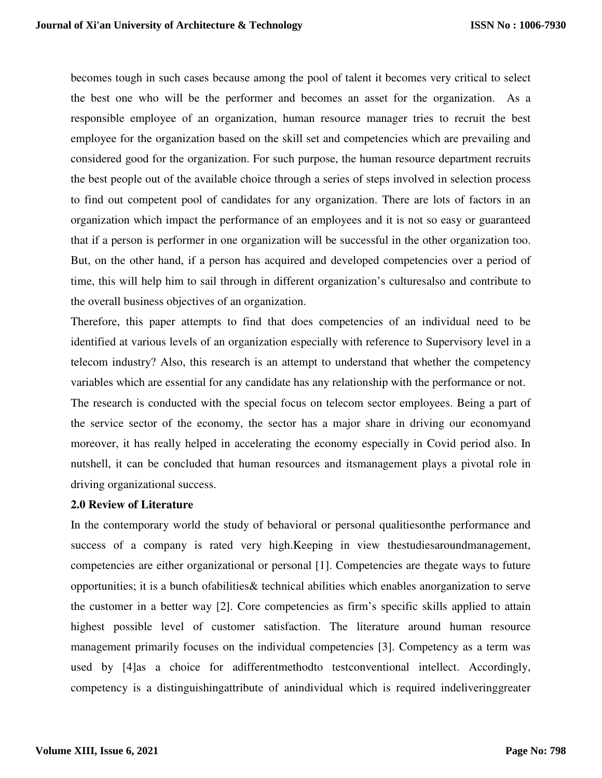becomes tough in such cases because among the pool of talent it becomes very critical to select the best one who will be the performer and becomes an asset for the organization. As a responsible employee of an organization, human resource manager tries to recruit the best employee for the organization based on the skill set and competencies which are prevailing and considered good for the organization. For such purpose, the human resource department recruits the best people out of the available choice through a series of steps involved in selection process to find out competent pool of candidates for any organization. There are lots of factors in an organization which impact the performance of an employees and it is not so easy or guaranteed that if a person is performer in one organization will be successful in the other organization too. But, on the other hand, if a person has acquired and developed competencies over a period of time, this will help him to sail through in different organization's culturesalso and contribute to the overall business objectives of an organization.

Therefore, this paper attempts to find that does competencies of an individual need to be identified at various levels of an organization especially with reference to Supervisory level in a telecom industry? Also, this research is an attempt to understand that whether the competency variables which are essential for any candidate has any relationship with the performance or not.

The research is conducted with the special focus on telecom sector employees. Being a part of the service sector of the economy, the sector has a major share in driving our economyand moreover, it has really helped in accelerating the economy especially in Covid period also. In nutshell, it can be concluded that human resources and itsmanagement plays a pivotal role in driving organizational success.

#### **2.0 Review of Literature**

In the contemporary world the study of behavioral or personal qualitiesonthe performance and success of a company is rated very high.Keeping in view thestudiesaroundmanagement, competencies are either organizational or personal [1]. Competencies are thegate ways to future opportunities; it is a bunch ofabilities& technical abilities which enables anorganization to serve the customer in a better way [2]. Core competencies as firm's specific skills applied to attain highest possible level of customer satisfaction. The literature around human resource management primarily focuses on the individual competencies [3]. Competency as a term was used by [4]as a choice for adifferentmethodto testconventional intellect. Accordingly, competency is a distinguishingattribute of anindividual which is required indeliveringgreater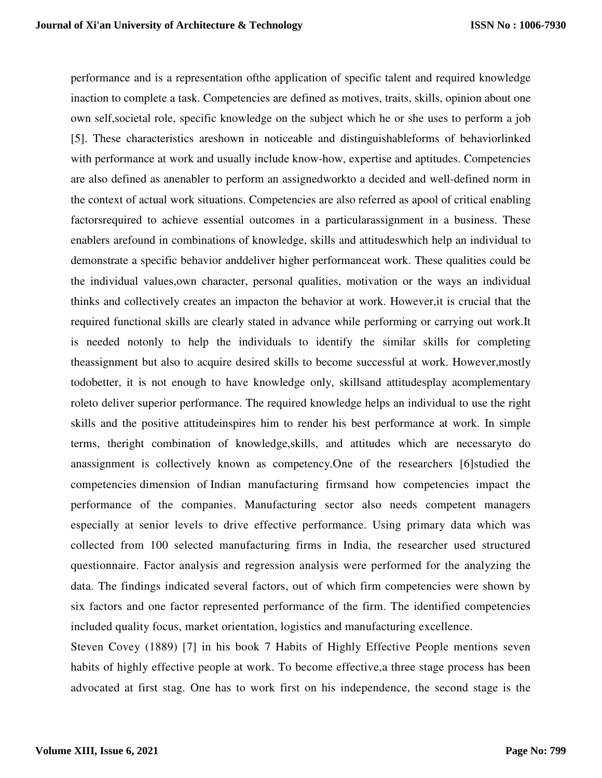performance and is a representation ofthe application of specific talent and required knowledge inaction to complete a task. Competencies are defined as motives, traits, skills, opinion about one own self,societal role, specific knowledge on the subject which he or she uses to perform a job [5]. These characteristics areshown in noticeable and distinguishableforms of behaviorlinked with performance at work and usually include know-how, expertise and aptitudes. Competencies are also defined as anenabler to perform an assignedworkto a decided and well-defined norm in the context of actual work situations. Competencies are also referred as apool of critical enabling factorsrequired to achieve essential outcomes in a particularassignment in a business. These enablers arefound in combinations of knowledge, skills and attitudeswhich help an individual to demonstrate a specific behavior anddeliver higher performanceat work. These qualities could be the individual values,own character, personal qualities, motivation or the ways an individual thinks and collectively creates an impacton the behavior at work. However,it is crucial that the required functional skills are clearly stated in advance while performing or carrying out work.It is needed notonly to help the individuals to identify the similar skills for completing theassignment but also to acquire desired skills to become successful at work. However,mostly todobetter, it is not enough to have knowledge only, skillsand attitudesplay acomplementary roleto deliver superior performance. The required knowledge helps an individual to use the right skills and the positive attitudeinspires him to render his best performance at work. In simple terms, theright combination of knowledge,skills, and attitudes which are necessaryto do anassignment is collectively known as competency.One of the researchers [6]studied the competencies dimension of Indian manufacturing firmsand how competencies impact the performance of the companies. Manufacturing sector also needs competent managers especially at senior levels to drive effective performance. Using primary data which was collected from 100 selected manufacturing firms in India, the researcher used structured questionnaire. Factor analysis and regression analysis were performed for the analyzing the data. The findings indicated several factors, out of which firm competencies were shown by six factors and one factor represented performance of the firm. The identified competencies included quality focus, market orientation, logistics and manufacturing excellence.

Steven Covey (1889) [7] in his book 7 Habits of Highly Effective People mentions seven habits of highly effective people at work. To become effective,a three stage process has been advocated at first stag. One has to work first on his independence, the second stage is the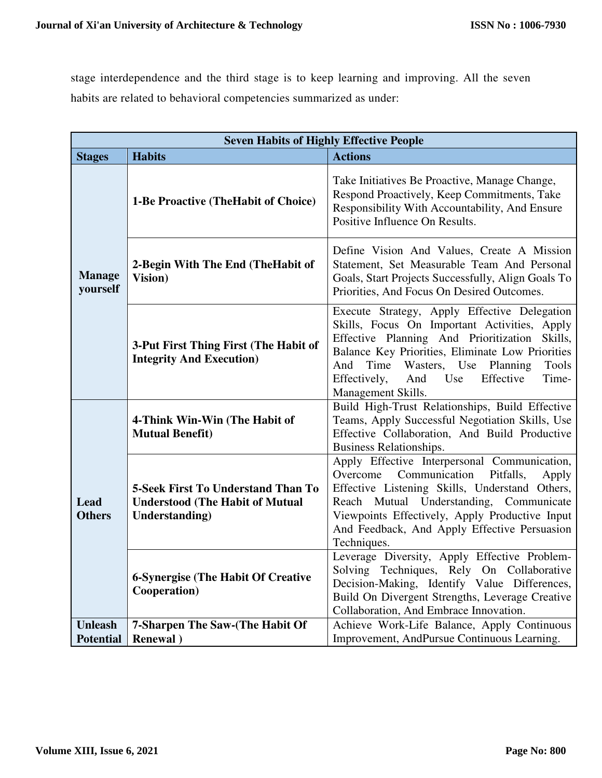stage interdependence and the third stage is to keep learning and improving. All the seven habits are related to behavioral competencies summarized as under:

| <b>Seven Habits of Highly Effective People</b> |                                                                                                                                                    |                                                                                                                                                                                                                                                                                                                                                                                                                                                                                                                                                                                                                                         |  |
|------------------------------------------------|----------------------------------------------------------------------------------------------------------------------------------------------------|-----------------------------------------------------------------------------------------------------------------------------------------------------------------------------------------------------------------------------------------------------------------------------------------------------------------------------------------------------------------------------------------------------------------------------------------------------------------------------------------------------------------------------------------------------------------------------------------------------------------------------------------|--|
| <b>Stages</b>                                  | <b>Habits</b>                                                                                                                                      | <b>Actions</b>                                                                                                                                                                                                                                                                                                                                                                                                                                                                                                                                                                                                                          |  |
| <b>Manage</b><br>yourself                      | 1-Be Proactive (The Habit of Choice)                                                                                                               | Take Initiatives Be Proactive, Manage Change,<br>Respond Proactively, Keep Commitments, Take<br>Responsibility With Accountability, And Ensure<br>Positive Influence On Results.                                                                                                                                                                                                                                                                                                                                                                                                                                                        |  |
|                                                | 2-Begin With The End (The Habit of<br>Vision)                                                                                                      | Define Vision And Values, Create A Mission<br>Statement, Set Measurable Team And Personal<br>Goals, Start Projects Successfully, Align Goals To<br>Priorities, And Focus On Desired Outcomes.                                                                                                                                                                                                                                                                                                                                                                                                                                           |  |
|                                                | 3-Put First Thing First (The Habit of<br><b>Integrity And Execution)</b>                                                                           | Effective Planning And Prioritization<br>Wasters, Use<br>And<br>Time<br>Planning<br>Effectively,<br>Use<br>Effective<br>And                                                                                                                                                                                                                                                                                                                                                                                                                                                                                                             |  |
|                                                | 4-Think Win-Win (The Habit of<br><b>Mutual Benefit)</b>                                                                                            | Execute Strategy, Apply Effective Delegation<br>Skills, Focus On Important Activities, Apply<br>Skills,<br>Balance Key Priorities, Eliminate Low Priorities<br>Tools<br>Time-<br>Management Skills.<br>Build High-Trust Relationships, Build Effective<br>Teams, Apply Successful Negotiation Skills, Use<br>Effective Collaboration, And Build Productive<br>Business Relationships.<br>Apply Effective Interpersonal Communication,<br>Communication<br>Overcome<br>Pitfalls,<br>Apply<br>Effective Listening Skills, Understand Others,<br>Reach Mutual Understanding, Communicate<br>Viewpoints Effectively, Apply Productive Input |  |
| Lead<br><b>Others</b>                          | <b>5-Seek First To Understand Than To</b><br><b>Understood (The Habit of Mutual</b><br>Understanding)<br><b>6-Synergise (The Habit Of Creative</b> | And Feedback, And Apply Effective Persuasion<br>Techniques.<br>Leverage Diversity, Apply Effective Problem-<br>Solving Techniques, Rely On Collaborative                                                                                                                                                                                                                                                                                                                                                                                                                                                                                |  |
|                                                | Cooperation)                                                                                                                                       | Decision-Making, Identify Value Differences,<br>Build On Divergent Strengths, Leverage Creative<br>Collaboration, And Embrace Innovation.                                                                                                                                                                                                                                                                                                                                                                                                                                                                                               |  |
| <b>Unleash</b><br><b>Potential</b>             | 7-Sharpen The Saw-(The Habit Of<br><b>Renewal</b> )                                                                                                | Achieve Work-Life Balance, Apply Continuous<br>Improvement, AndPursue Continuous Learning.                                                                                                                                                                                                                                                                                                                                                                                                                                                                                                                                              |  |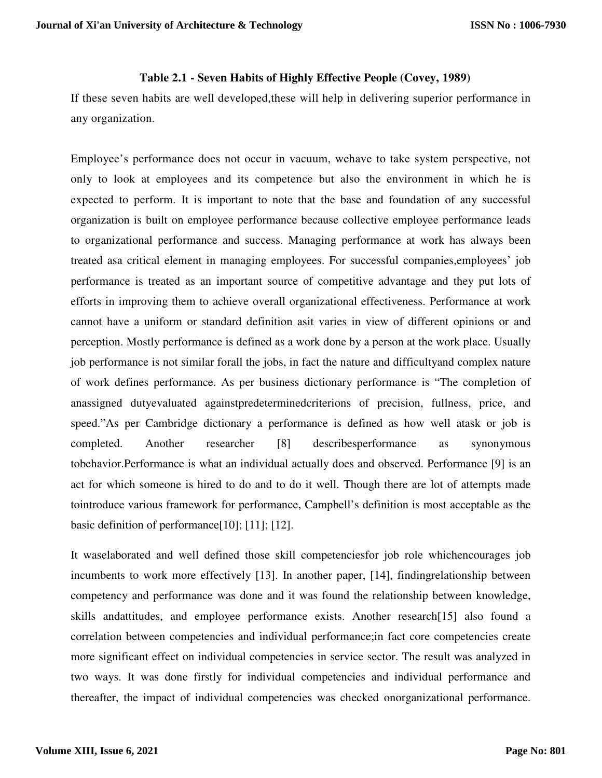## **Table 2.1 - Seven Habits of Highly Effective People (Covey, 1989)**

If these seven habits are well developed,these will help in delivering superior performance in any organization.

Employee's performance does not occur in vacuum, wehave to take system perspective, not only to look at employees and its competence but also the environment in which he is expected to perform. It is important to note that the base and foundation of any successful organization is built on employee performance because collective employee performance leads to organizational performance and success. Managing performance at work has always been treated asa critical element in managing employees. For successful companies,employees' job performance is treated as an important source of competitive advantage and they put lots of efforts in improving them to achieve overall organizational effectiveness. Performance at work cannot have a uniform or standard definition asit varies in view of different opinions or and perception. Mostly performance is defined as a work done by a person at the work place. Usually job performance is not similar forall the jobs, in fact the nature and difficultyand complex nature of work defines performance. As per business dictionary performance is "The completion of anassigned dutyevaluated againstpredeterminedcriterions of precision, fullness, price, and speed."As per Cambridge dictionary a performance is defined as how well atask or job is completed. Another researcher [8] describesperformance as synonymous tobehavior.Performance is what an individual actually does and observed. Performance [9] is an act for which someone is hired to do and to do it well. Though there are lot of attempts made tointroduce various framework for performance, Campbell's definition is most acceptable as the basic definition of performance[10]; [11]; [12].

It waselaborated and well defined those skill competenciesfor job role whichencourages job incumbents to work more effectively [13]. In another paper, [14], findingrelationship between competency and performance was done and it was found the relationship between knowledge, skills andattitudes, and employee performance exists. Another research[15] also found a correlation between competencies and individual performance;in fact core competencies create more significant effect on individual competencies in service sector. The result was analyzed in two ways. It was done firstly for individual competencies and individual performance and thereafter, the impact of individual competencies was checked onorganizational performance.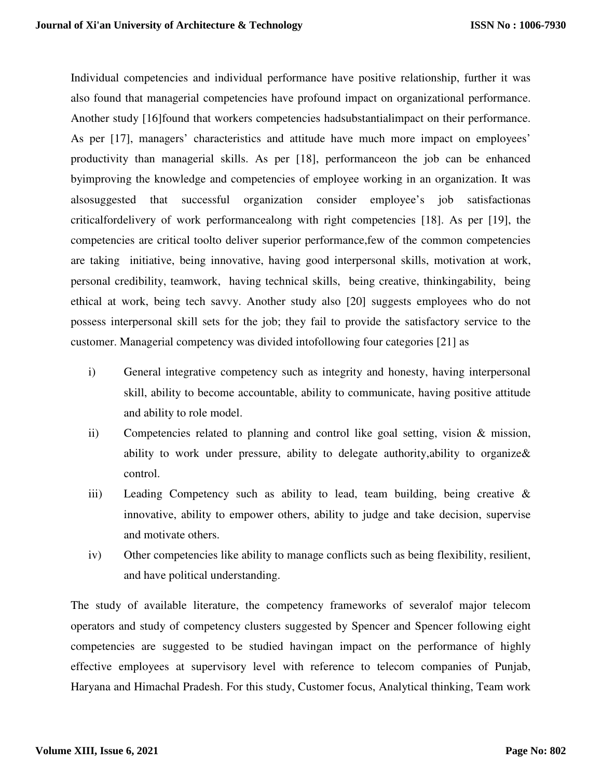Individual competencies and individual performance have positive relationship, further it was also found that managerial competencies have profound impact on organizational performance. Another study [16]found that workers competencies hadsubstantialimpact on their performance. As per [17], managers' characteristics and attitude have much more impact on employees' productivity than managerial skills. As per [18], performanceon the job can be enhanced byimproving the knowledge and competencies of employee working in an organization. It was alsosuggested that successful organization consider employee's job satisfactionas criticalfordelivery of work performancealong with right competencies [18]. As per [19], the competencies are critical toolto deliver superior performance,few of the common competencies are taking initiative, being innovative, having good interpersonal skills, motivation at work, personal credibility, teamwork, having technical skills, being creative, thinkingability, being ethical at work, being tech savvy. Another study also [20] suggests employees who do not possess interpersonal skill sets for the job; they fail to provide the satisfactory service to the customer. Managerial competency was divided intofollowing four categories [21] as

- i) General integrative competency such as integrity and honesty, having interpersonal skill, ability to become accountable, ability to communicate, having positive attitude and ability to role model.
- ii) Competencies related to planning and control like goal setting, vision & mission, ability to work under pressure, ability to delegate authority,ability to organize& control.
- iii) Leading Competency such as ability to lead, team building, being creative & innovative, ability to empower others, ability to judge and take decision, supervise and motivate others.
- iv) Other competencies like ability to manage conflicts such as being flexibility, resilient, and have political understanding.

The study of available literature, the competency frameworks of severalof major telecom operators and study of competency clusters suggested by Spencer and Spencer following eight competencies are suggested to be studied havingan impact on the performance of highly effective employees at supervisory level with reference to telecom companies of Punjab, Haryana and Himachal Pradesh. For this study, Customer focus, Analytical thinking, Team work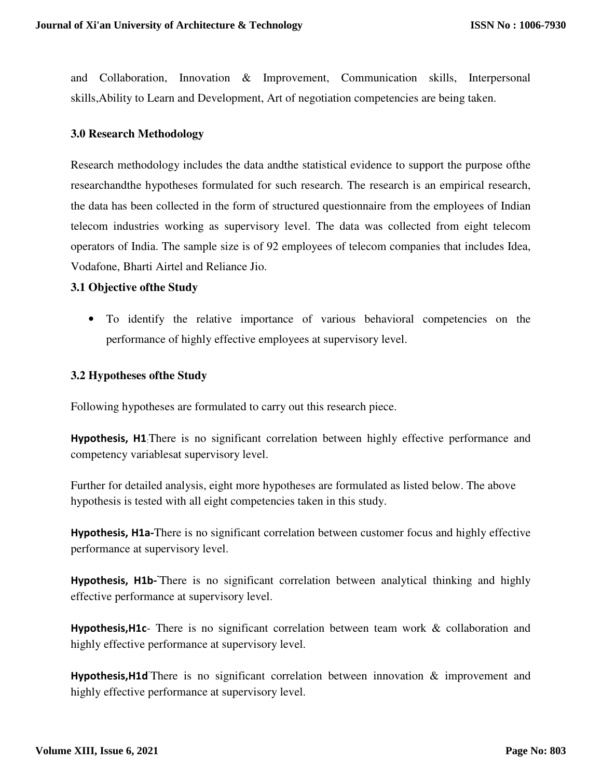and Collaboration, Innovation & Improvement, Communication skills, Interpersonal skills,Ability to Learn and Development, Art of negotiation competencies are being taken.

## **3.0 Research Methodology**

Research methodology includes the data andthe statistical evidence to support the purpose ofthe researchandthe hypotheses formulated for such research. The research is an empirical research, the data has been collected in the form of structured questionnaire from the employees of Indian telecom industries working as supervisory level. The data was collected from eight telecom operators of India. The sample size is of 92 employees of telecom companies that includes Idea, Vodafone, Bharti Airtel and Reliance Jio.

#### **3.1 Objective ofthe Study**

• To identify the relative importance of various behavioral competencies on the performance of highly effective employees at supervisory level.

## **3.2 Hypotheses ofthe Study**

Following hypotheses are formulated to carry out this research piece.

**Hypothesis, H1**:There is no significant correlation between highly effective performance and competency variablesat supervisory level.

Further for detailed analysis, eight more hypotheses are formulated as listed below. The above hypothesis is tested with all eight competencies taken in this study.

**Hypothesis, H1a-**There is no significant correlation between customer focus and highly effective performance at supervisory level.

Hypothesis, H1b-There is no significant correlation between analytical thinking and highly effective performance at supervisory level.

**Hypothesis,H1c**- There is no significant correlation between team work & collaboration and highly effective performance at supervisory level.

Hypothesis, H1d<sup>There</sup> is no significant correlation between innovation & improvement and highly effective performance at supervisory level.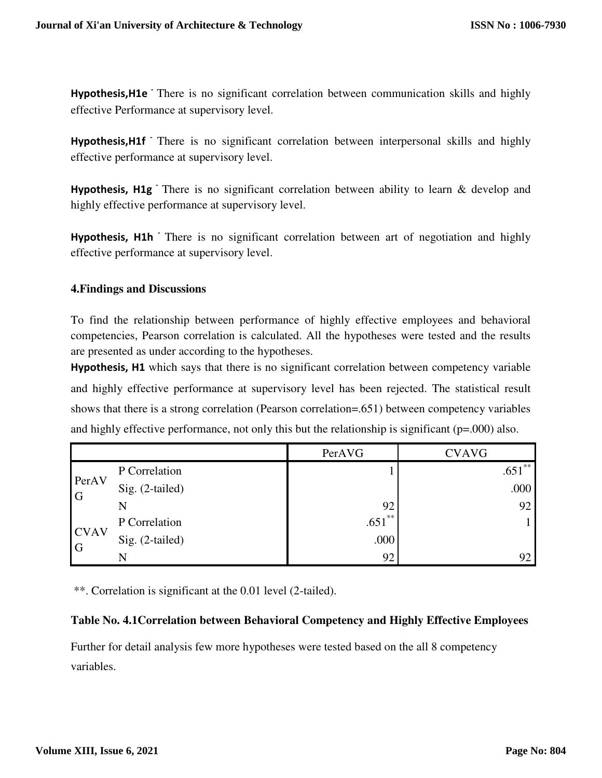**Hypothesis, H1e** There is no significant correlation between communication skills and highly effective Performance at supervisory level.

Hypothesis, H1f<sup>-</sup> There is no significant correlation between interpersonal skills and highly effective performance at supervisory level.

**Hypothesis, H1g** There is no significant correlation between ability to learn & develop and highly effective performance at supervisory level.

Hypothesis, H<sub>1</sub>h There is no significant correlation between art of negotiation and highly effective performance at supervisory level.

# **4.Findings and Discussions**

To find the relationship between performance of highly effective employees and behavioral competencies, Pearson correlation is calculated. All the hypotheses were tested and the results are presented as under according to the hypotheses.

**Hypothesis, H1** which says that there is no significant correlation between competency variable and highly effective performance at supervisory level has been rejected. The statistical result shows that there is a strong correlation (Pearson correlation=.651) between competency variables and highly effective performance, not only this but the relationship is significant (p=.000) also.

|                               |                 | PerAVG    | <b>CVAVG</b> |
|-------------------------------|-----------------|-----------|--------------|
|                               | P Correlation   |           | $.651***$    |
| PerAV<br>$\overline{G}$       | Sig. (2-tailed) |           | .000         |
|                               | N               | 92        | 92           |
|                               | P Correlation   | $.651***$ |              |
| <b>CVAV</b><br>$\overline{G}$ | Sig. (2-tailed) | .000      |              |
|                               | N               | 92        | 92           |

\*\*. Correlation is significant at the 0.01 level (2-tailed).

## **Table No. 4.1Correlation between Behavioral Competency and Highly Effective Employees**

Further for detail analysis few more hypotheses were tested based on the all 8 competency variables.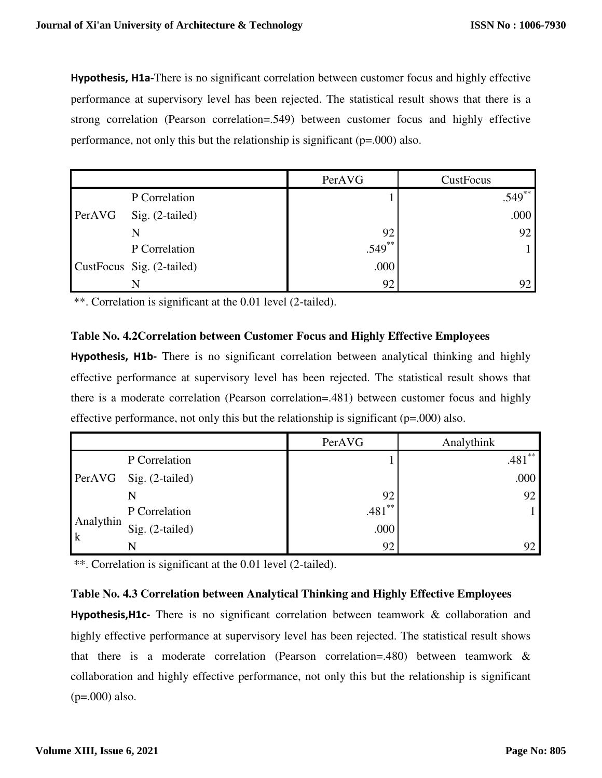**Hypothesis, H1a-**There is no significant correlation between customer focus and highly effective performance at supervisory level has been rejected. The statistical result shows that there is a strong correlation (Pearson correlation=.549) between customer focus and highly effective performance, not only this but the relationship is significant (p=.000) also.

|        |                           | PerAVG    | CustFocus |
|--------|---------------------------|-----------|-----------|
|        | P Correlation             |           | $.549**$  |
| PerAVG | Sig. (2-tailed)           |           | .000      |
|        | N                         | 92        | 92        |
|        | P Correlation             | $.549***$ |           |
|        | CustFocus Sig. (2-tailed) | .000      |           |
|        | N                         | 92        | 92        |

\*\*. Correlation is significant at the 0.01 level (2-tailed).

# **Table No. 4.2Correlation between Customer Focus and Highly Effective Employees**

**Hypothesis, H1b-** There is no significant correlation between analytical thinking and highly effective performance at supervisory level has been rejected. The statistical result shows that there is a moderate correlation (Pearson correlation=.481) between customer focus and highly effective performance, not only this but the relationship is significant (p=.000) also.

|                          |                        | PerAVG    | Analythink |
|--------------------------|------------------------|-----------|------------|
|                          | P Correlation          |           | $.481**$   |
|                          | PerAVG Sig. (2-tailed) |           | .000       |
|                          |                        | 92        | 92         |
|                          | P Correlation          | $.481***$ |            |
| Analythin<br>$\mathbf k$ | Sig. $(2-tailed)$      | .000      |            |
|                          |                        | 92        |            |

\*\*. Correlation is significant at the 0.01 level (2-tailed).

# **Table No. 4.3 Correlation between Analytical Thinking and Highly Effective Employees**

**Hypothesis,H1c-** There is no significant correlation between teamwork & collaboration and highly effective performance at supervisory level has been rejected. The statistical result shows that there is a moderate correlation (Pearson correlation=.480) between teamwork & collaboration and highly effective performance, not only this but the relationship is significant (p=.000) also.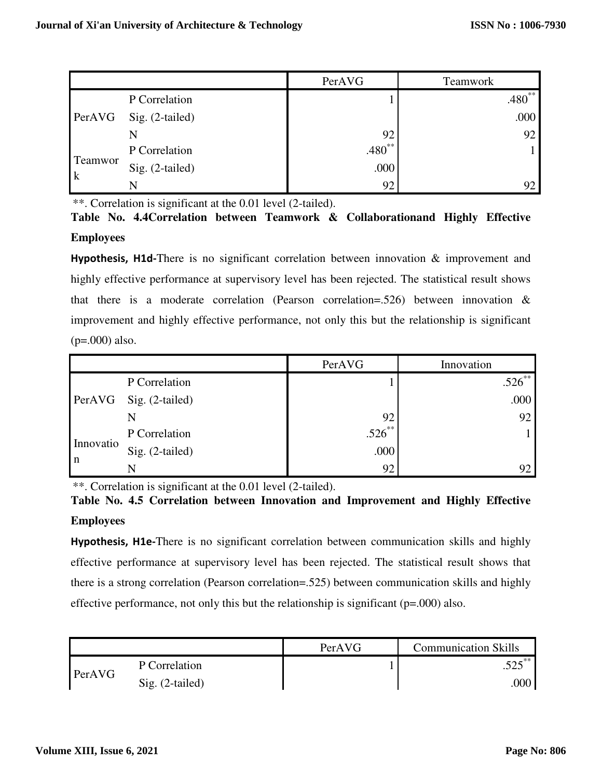|                        |                   | PerAVG      | <b>Teamwork</b> |
|------------------------|-------------------|-------------|-----------------|
|                        | P Correlation     |             | $.480**$        |
| PerAVG                 | Sig. (2-tailed)   |             | .000            |
|                        | N                 | 92          | 92              |
| Teamwor<br>$\mathbf k$ | P Correlation     | $.480^{**}$ |                 |
|                        | $Sig. (2-tailed)$ | .000        |                 |
|                        | N                 | 92          | 92              |

\*\*. Correlation is significant at the 0.01 level (2-tailed).

**Table No. 4.4Correlation between Teamwork & Collaborationand Highly Effective Employees**

**Hypothesis, H1d-**There is no significant correlation between innovation & improvement and highly effective performance at supervisory level has been rejected. The statistical result shows that there is a moderate correlation (Pearson correlation=.526) between innovation  $\&$ improvement and highly effective performance, not only this but the relationship is significant  $(p=.000)$  also.

|             |                 | PerAVG    | Innovation |
|-------------|-----------------|-----------|------------|
| PerAVG      | P Correlation   |           | $.526***$  |
|             | Sig. (2-tailed) |           | .000       |
|             | N               | 92        | 92         |
|             | P Correlation   | $.526***$ |            |
| Innovatio   | Sig. (2-tailed) | .000      |            |
| $\mathbf n$ | N               | 92        |            |

\*\*. Correlation is significant at the 0.01 level (2-tailed).

**Table No. 4.5 Correlation between Innovation and Improvement and Highly Effective Employees**

**Hypothesis, H1e-**There is no significant correlation between communication skills and highly effective performance at supervisory level has been rejected. The statistical result shows that there is a strong correlation (Pearson correlation=.525) between communication skills and highly effective performance, not only this but the relationship is significant  $(p=.000)$  also.

|        |                   | PerAVG | <b>Communication Skills</b> |
|--------|-------------------|--------|-----------------------------|
| PerAVG | P Correlation     |        |                             |
|        | $Sig. (2-tailed)$ |        | .000                        |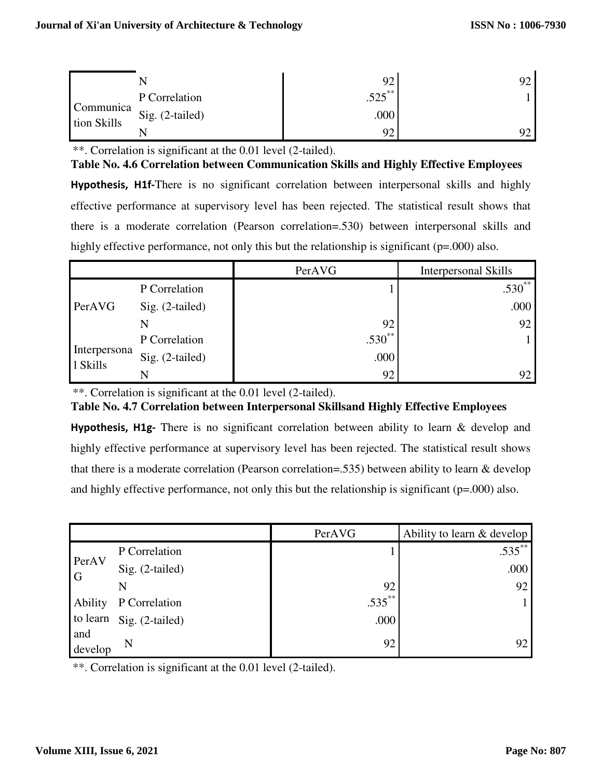|                          | P Correlation   | 525<br>ن∠ت. |  |
|--------------------------|-----------------|-------------|--|
| Communica<br>tion Skills | Sig. (2-tailed) | .000        |  |
|                          |                 |             |  |

\*\*. Correlation is significant at the 0.01 level (2-tailed).

**Table No. 4.6 Correlation between Communication Skills and Highly Effective Employees**

**Hypothesis, H1f-**There is no significant correlation between interpersonal skills and highly effective performance at supervisory level has been rejected. The statistical result shows that there is a moderate correlation (Pearson correlation=.530) between interpersonal skills and highly effective performance, not only this but the relationship is significant (p=.000) also.

|                          |                 | PerAVG      | Interpersonal Skills |
|--------------------------|-----------------|-------------|----------------------|
|                          | P Correlation   |             | $.530**$             |
| PerAVG                   | Sig. (2-tailed) |             | .000                 |
|                          |                 | 92          | 92                   |
|                          | P Correlation   | $.530^{**}$ |                      |
| Interpersona<br>1 Skills | Sig. (2-tailed) | .000        |                      |
|                          | N               | 92          | 92                   |

\*\*. Correlation is significant at the 0.01 level (2-tailed).

**Table No. 4.7 Correlation between Interpersonal Skillsand Highly Effective Employees**

**Hypothesis, H1g-** There is no significant correlation between ability to learn & develop and highly effective performance at supervisory level has been rejected. The statistical result shows that there is a moderate correlation (Pearson correlation=.535) between ability to learn & develop and highly effective performance, not only this but the relationship is significant (p=.000) also.

|                         |                 | PerAVG    | Ability to learn & develop |
|-------------------------|-----------------|-----------|----------------------------|
|                         | P Correlation   |           | $.535***$                  |
| PerAV<br>$\overline{G}$ | Sig. (2-tailed) |           | .000                       |
|                         | N               | 92        | 92                         |
| <b>Ability</b>          | P Correlation   | $.535***$ |                            |
| to learn                | Sig. (2-tailed) | .000      |                            |
| and<br>develop          | N               | 92        | 92                         |

\*\*. Correlation is significant at the 0.01 level (2-tailed).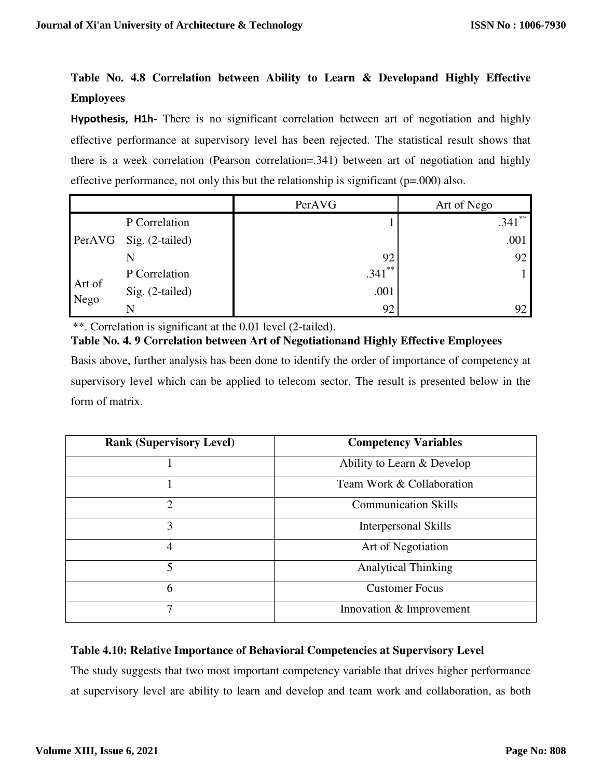# **Table No. 4.8 Correlation between Ability to Learn & Developand Highly Effective Employees**

**Hypothesis, H1h-** There is no significant correlation between art of negotiation and highly effective performance at supervisory level has been rejected. The statistical result shows that there is a week correlation (Pearson correlation=.341) between art of negotiation and highly effective performance, not only this but the relationship is significant (p=.000) also.

|                |                        | PerAVG    | Art of Nego |
|----------------|------------------------|-----------|-------------|
|                | P Correlation          |           | $.341***$   |
|                | PerAVG Sig. (2-tailed) |           | .001        |
|                |                        | 92        | 92          |
|                | P Correlation          | $.341$ ** |             |
| Art of<br>Nego | Sig. (2-tailed)        | .001      |             |
|                |                        | 92        | 92          |

\*\*. Correlation is significant at the 0.01 level (2-tailed).

**Table No. 4. 9 Correlation between Art of Negotiationand Highly Effective Employees** Basis above, further analysis has been done to identify the order of importance of competency at supervisory level which can be applied to telecom sector. The result is presented below in the form of matrix.

| <b>Rank (Supervisory Level)</b> | <b>Competency Variables</b> |
|---------------------------------|-----------------------------|
|                                 | Ability to Learn & Develop  |
|                                 | Team Work & Collaboration   |
| $\overline{2}$                  | <b>Communication Skills</b> |
| 3                               | <b>Interpersonal Skills</b> |
| 4                               | Art of Negotiation          |
| 5                               | <b>Analytical Thinking</b>  |
| 6                               | <b>Customer Focus</b>       |
| 7                               | Innovation & Improvement    |

# **Table 4.10: Relative Importance of Behavioral Competencies at Supervisory Level**

The study suggests that two most important competency variable that drives higher performance at supervisory level are ability to learn and develop and team work and collaboration, as both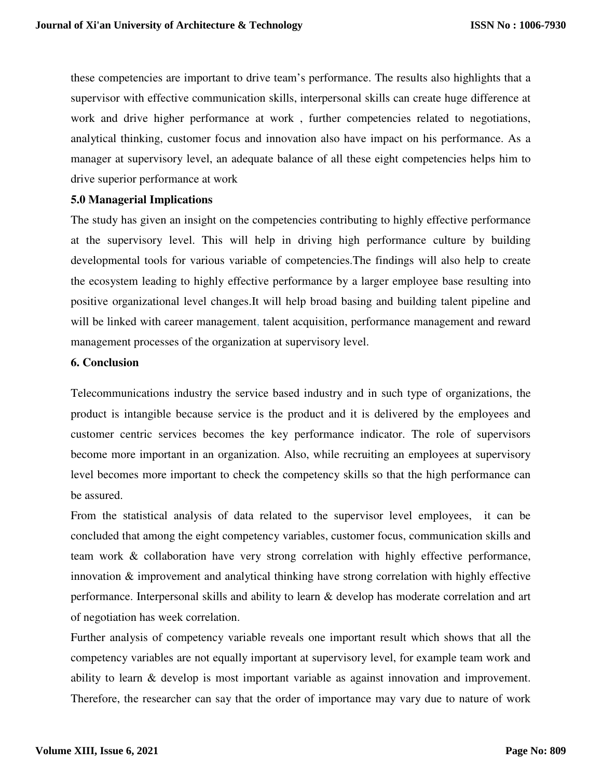these competencies are important to drive team's performance. The results also highlights that a supervisor with effective communication skills, interpersonal skills can create huge difference at work and drive higher performance at work , further competencies related to negotiations, analytical thinking, customer focus and innovation also have impact on his performance. As a manager at supervisory level, an adequate balance of all these eight competencies helps him to drive superior performance at work

## **5.0 Managerial Implications**

The study has given an insight on the competencies contributing to highly effective performance at the supervisory level. This will help in driving high performance culture by building developmental tools for various variable of competencies.The findings will also help to create the ecosystem leading to highly effective performance by a larger employee base resulting into positive organizational level changes.It will help broad basing and building talent pipeline and will be linked with career management, talent acquisition, performance management and reward management processes of the organization at supervisory level.

# **6. Conclusion**

Telecommunications industry the service based industry and in such type of organizations, the product is intangible because service is the product and it is delivered by the employees and customer centric services becomes the key performance indicator. The role of supervisors become more important in an organization. Also, while recruiting an employees at supervisory level becomes more important to check the competency skills so that the high performance can be assured.

From the statistical analysis of data related to the supervisor level employees, it can be concluded that among the eight competency variables, customer focus, communication skills and team work & collaboration have very strong correlation with highly effective performance, innovation & improvement and analytical thinking have strong correlation with highly effective performance. Interpersonal skills and ability to learn & develop has moderate correlation and art of negotiation has week correlation.

Further analysis of competency variable reveals one important result which shows that all the competency variables are not equally important at supervisory level, for example team work and ability to learn & develop is most important variable as against innovation and improvement. Therefore, the researcher can say that the order of importance may vary due to nature of work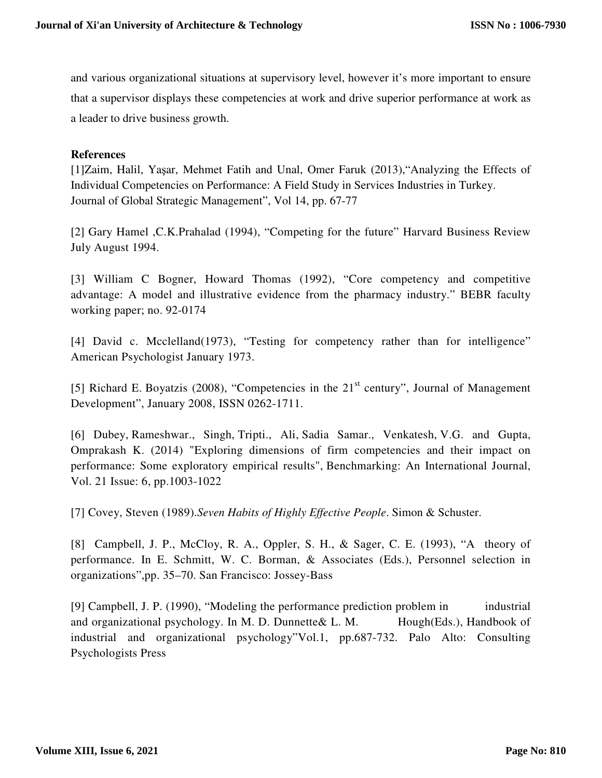and various organizational situations at supervisory level, however it's more important to ensure that a supervisor displays these competencies at work and drive superior performance at work as a leader to drive business growth.

# **References**

[1]Zaim, Halil, Yaşar, Mehmet Fatih and Unal, Omer Faruk (2013),"Analyzing the Effects of Individual Competencies on Performance: A Field Study in Services Industries in Turkey. Journal of Global Strategic Management", Vol 14, pp. 67-77

[2] Gary Hamel ,C.K.Prahalad (1994), "Competing for the future" Harvard Business Review July August 1994.

[3] William C Bogner, Howard Thomas (1992), "Core competency and competitive advantage: A model and illustrative evidence from the pharmacy industry." BEBR faculty working paper; no. 92-0174

[4] David c. Mcclelland(1973), "Testing for competency rather than for intelligence" American Psychologist January 1973.

[5] Richard E. Boyatzis (2008), "Competencies in the  $21<sup>st</sup>$  century", Journal of Management Development", January 2008, ISSN 0262-1711.

[6] Dubey, Rameshwar., Singh, Tripti., Ali, Sadia Samar., Venkatesh, V.G. and Gupta, Omprakash K. (2014) "Exploring dimensions of firm competencies and their impact on performance: Some exploratory empirical results", Benchmarking: An International Journal, Vol. 21 Issue: 6, pp.1003-1022

[7] Covey, Steven (1989).*Seven Habits of Highly Effective People*. Simon & Schuster.

[8] Campbell, J. P., McCloy, R. A., Oppler, S. H., & Sager, C. E. (1993), "A theory of performance. In E. Schmitt, W. C. Borman, & Associates (Eds.), Personnel selection in organizations",pp. 35–70. San Francisco: Jossey-Bass

[9] Campbell, J. P. (1990), "Modeling the performance prediction problem in industrial and organizational psychology. In M. D. Dunnette & L. M. Hough(Eds.), Handbook of industrial and organizational psychology"Vol.1, pp.687-732. Palo Alto: Consulting Psychologists Press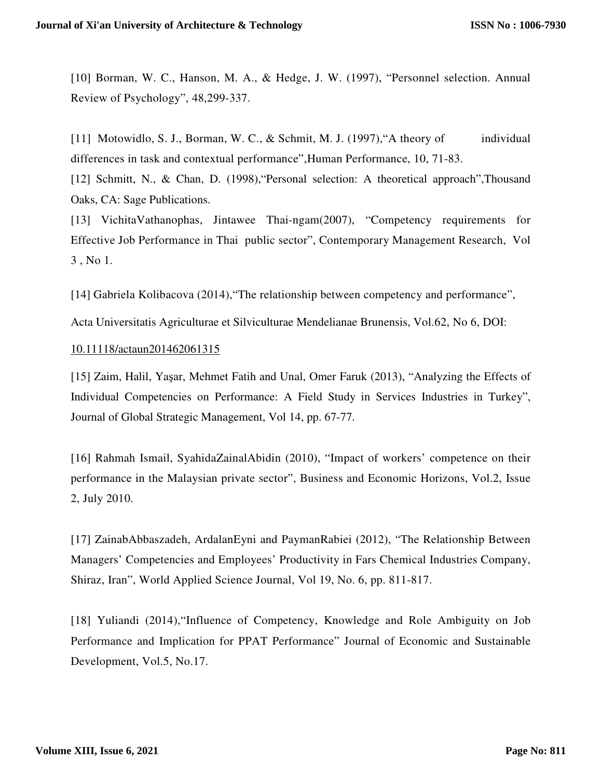[10] Borman, W. C., Hanson, M. A., & Hedge, J. W. (1997), "Personnel selection. Annual Review of Psychology", 48,299-337.

[11] Motowidlo, S. J., Borman, W. C., & Schmit, M. J. (1997), "A theory of individual differences in task and contextual performance",Human Performance, 10, 71-83.

[12] Schmitt, N., & Chan, D. (1998), 'Personal selection: A theoretical approach'', Thousand Oaks, CA: Sage Publications.

[13] VichitaVathanophas, Jintawee Thai-ngam(2007), "Competency requirements for Effective Job Performance in Thai public sector", Contemporary Management Research, Vol 3 , No 1.

[14] Gabriela Kolibacova (2014),"The relationship between competency and performance",

Acta Universitatis Agriculturae et Silviculturae Mendelianae Brunensis, Vol.62, No 6, DOI:

## 10.11118/actaun201462061315

[15] Zaim, Halil, Yaşar, Mehmet Fatih and Unal, Omer Faruk (2013), "Analyzing the Effects of Individual Competencies on Performance: A Field Study in Services Industries in Turkey", Journal of Global Strategic Management, Vol 14, pp. 67-77.

[16] Rahmah Ismail, SyahidaZainalAbidin (2010), "Impact of workers' competence on their performance in the Malaysian private sector", Business and Economic Horizons, Vol.2, Issue 2, July 2010.

[17] ZainabAbbaszadeh, ArdalanEyni and PaymanRabiei (2012), "The Relationship Between Managers' Competencies and Employees' Productivity in Fars Chemical Industries Company, Shiraz, Iran", World Applied Science Journal, Vol 19, No. 6, pp. 811-817.

[18] Yuliandi (2014),"Influence of Competency, Knowledge and Role Ambiguity on Job Performance and Implication for PPAT Performance" Journal of Economic and Sustainable Development, Vol.5, No.17.